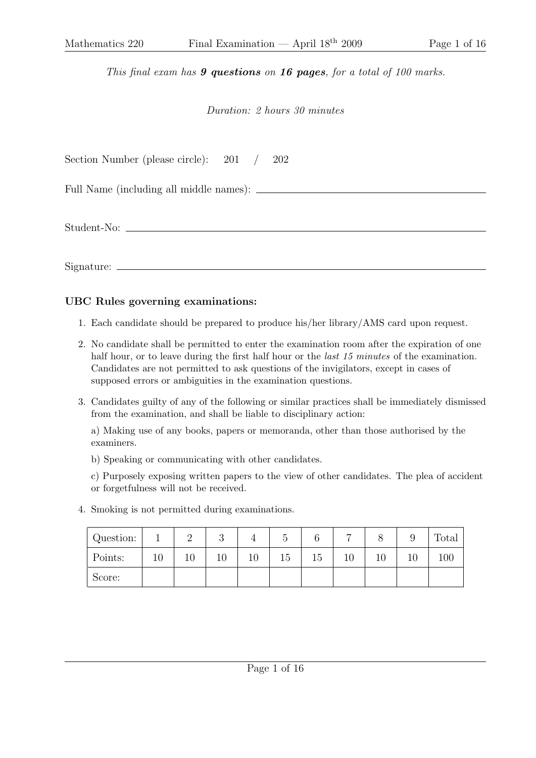This final exam has **9 questions** on **16 pages**, for a total of 100 marks.

## Duration: 2 hours 30 minutes

| Section Number (please circle): $201 /$<br>202 |  |
|------------------------------------------------|--|
|                                                |  |
|                                                |  |

Signature:

## UBC Rules governing examinations:

- 1. Each candidate should be prepared to produce his/her library/AMS card upon request.
- 2. No candidate shall be permitted to enter the examination room after the expiration of one half hour, or to leave during the first half hour or the *last 15 minutes* of the examination. Candidates are not permitted to ask questions of the invigilators, except in cases of supposed errors or ambiguities in the examination questions.
- 3. Candidates guilty of any of the following or similar practices shall be immediately dismissed from the examination, and shall be liable to disciplinary action:

a) Making use of any books, papers or memoranda, other than those authorised by the examiners.

b) Speaking or communicating with other candidates.

c) Purposely exposing written papers to the view of other candidates. The plea of accident or forgetfulness will not be received.

4. Smoking is not permitted during examinations.

| Question: |    | ↵      | $\Omega$<br>U |    |    |    |    |    | ັ  | Total |
|-----------|----|--------|---------------|----|----|----|----|----|----|-------|
| Points:   | 10 | $10\,$ | ΙV            | 10 | 15 | 15 | ΙU | 10 | 10 |       |
| Score:    |    |        |               |    |    |    |    |    |    |       |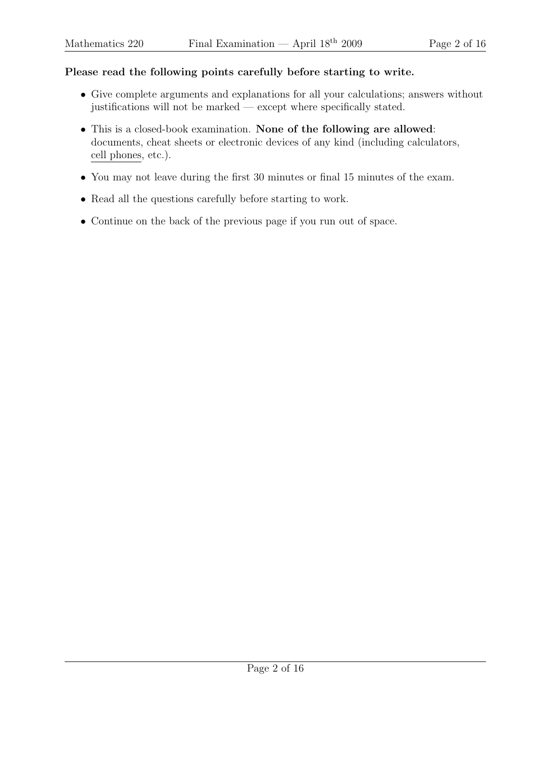## Please read the following points carefully before starting to write.

- Give complete arguments and explanations for all your calculations; answers without justifications will not be marked — except where specifically stated.
- This is a closed-book examination. None of the following are allowed: documents, cheat sheets or electronic devices of any kind (including calculators, cell phones, etc.).
- You may not leave during the first 30 minutes or final 15 minutes of the exam.
- Read all the questions carefully before starting to work.
- Continue on the back of the previous page if you run out of space.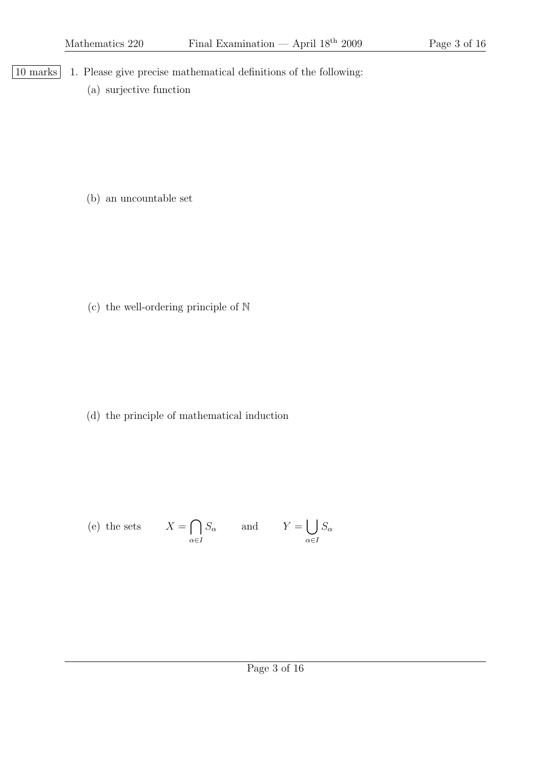- |10 marks | 1. Please give precise mathematical definitions of the following:
	- (a) surjective function

(b) an uncountable set

(c) the well-ordering principle of N

(d) the principle of mathematical induction

(e) the sets 
$$
X = \bigcap_{\alpha \in I} S_{\alpha}
$$
 and  $Y = \bigcup_{\alpha \in I} S_{\alpha}$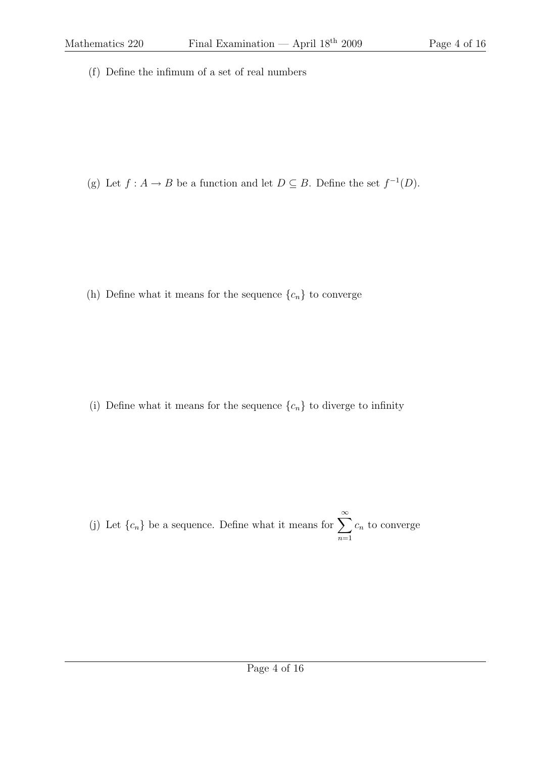(f) Define the infimum of a set of real numbers

(g) Let  $f : A \to B$  be a function and let  $D \subseteq B$ . Define the set  $f^{-1}(D)$ .

(h) Define what it means for the sequence  $\{c_n\}$  to converge

(i) Define what it means for the sequence  $\{c_n\}$  to diverge to infinity

(j) Let  $\{c_n\}$  be a sequence. Define what it means for  $\sum_{n=1}^{\infty}$  $n=1$  $c_n$  to converge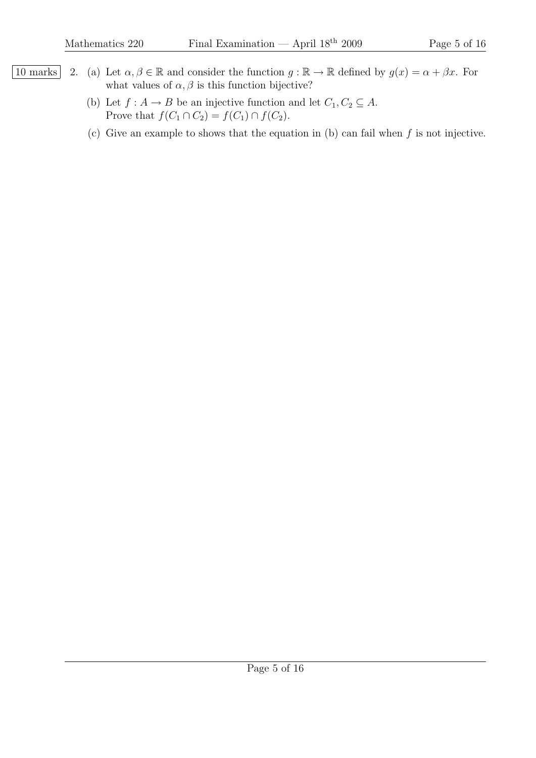- 10 marks 2. (a) Let  $\alpha, \beta \in \mathbb{R}$  and consider the function  $g : \mathbb{R} \to \mathbb{R}$  defined by  $g(x) = \alpha + \beta x$ . For what values of  $\alpha$ ,  $\beta$  is this function bijective?
	- (b) Let  $f : A \to B$  be an injective function and let  $C_1, C_2 \subseteq A$ . Prove that  $f(C_1 \cap C_2) = f(C_1) \cap f(C_2)$ .
	- (c) Give an example to shows that the equation in (b) can fail when  $f$  is not injective.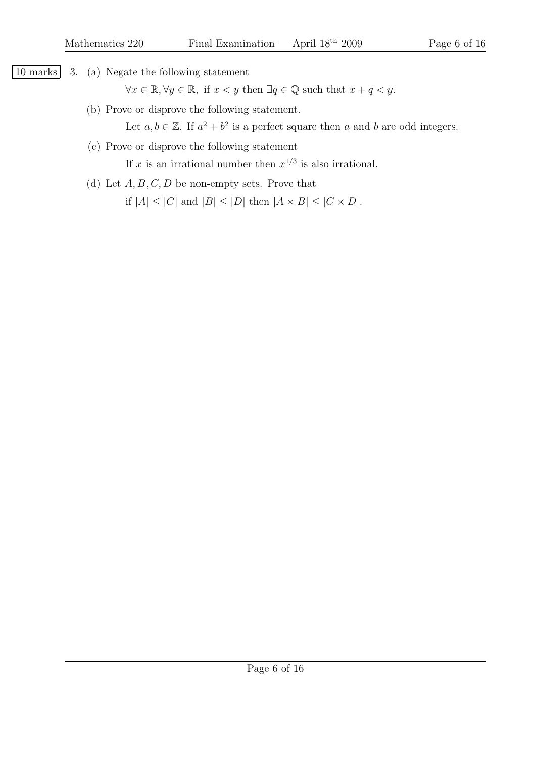10 marks 3. (a) Negate the following statement

 $\forall x \in \mathbb{R}, \forall y \in \mathbb{R}, \text{ if } x < y \text{ then } \exists q \in \mathbb{Q} \text{ such that } x + q < y.$ 

(b) Prove or disprove the following statement.

Let  $a, b \in \mathbb{Z}$ . If  $a^2 + b^2$  is a perfect square then a and b are odd integers.

(c) Prove or disprove the following statement

If x is an irrational number then  $x^{1/3}$  is also irrational.

(d) Let  $A, B, C, D$  be non-empty sets. Prove that if  $|A| \leq |C|$  and  $|B| \leq |D|$  then  $|A \times B| \leq |C \times D|$ .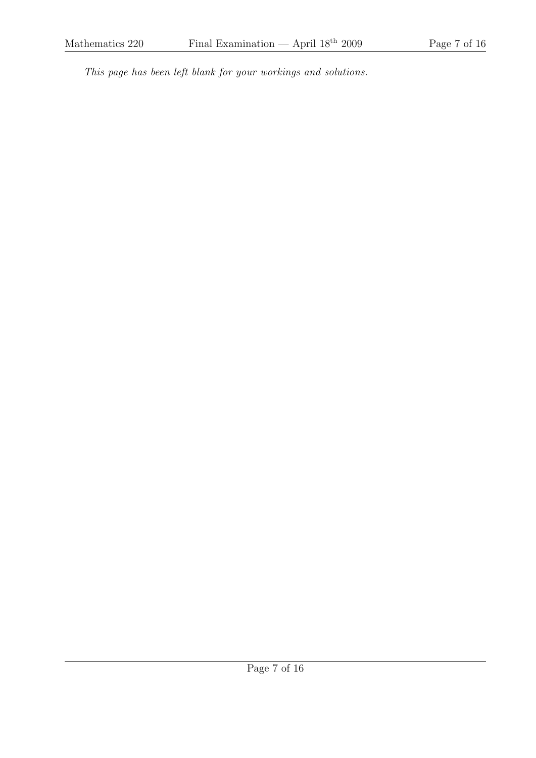This page has been left blank for your workings and solutions.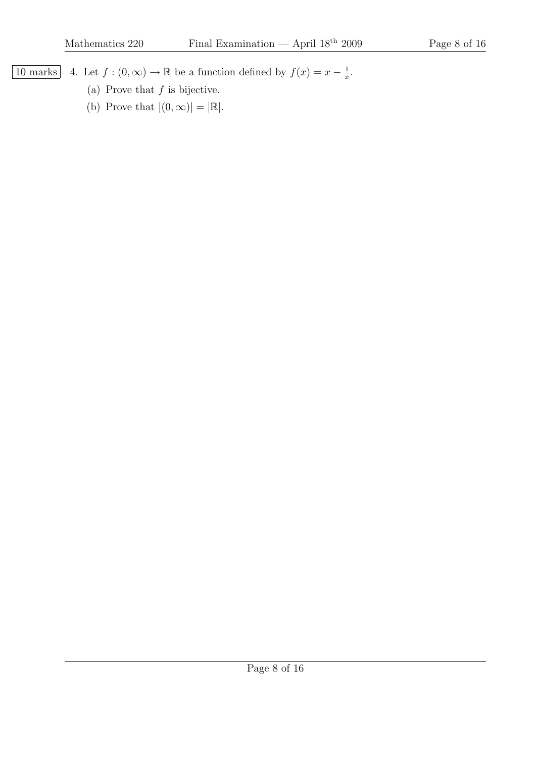$\frac{1}{x}$ .

10 marks 4. Let  $f:(0,\infty)\to\mathbb{R}$  be a function defined by  $f(x)=x-\frac{1}{x}$ 

- (a) Prove that  $f$  is bijective.
- (b) Prove that  $|(0, \infty)| = |\mathbb{R}|$ .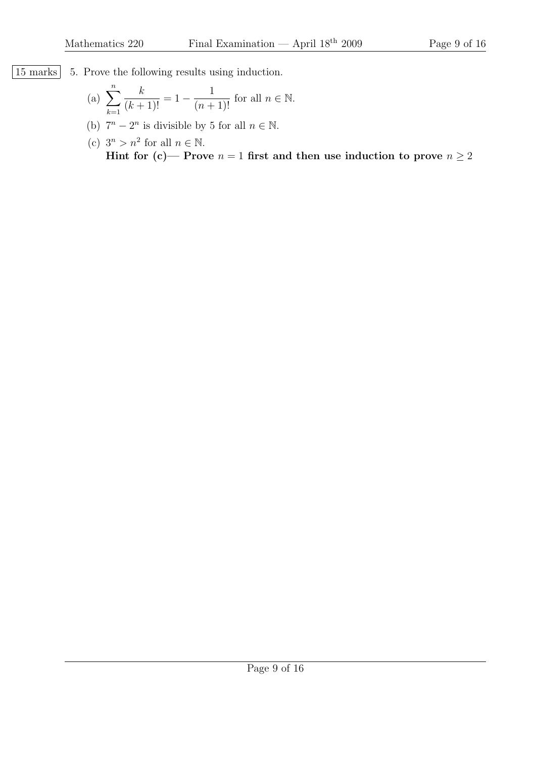[15 marks] 5. Prove the following results using induction.

(a) 
$$
\sum_{k=1}^{n} \frac{k}{(k+1)!} = 1 - \frac{1}{(n+1)!}
$$
 for all  $n \in \mathbb{N}$ .

(b)  $7^n - 2^n$  is divisible by 5 for all  $n \in \mathbb{N}$ .

(c) 
$$
3^n > n^2
$$
 for all  $n \in \mathbb{N}$ .  
Hint for (c)— Prove  $n = 1$  first and then use induction to prove  $n \ge 2$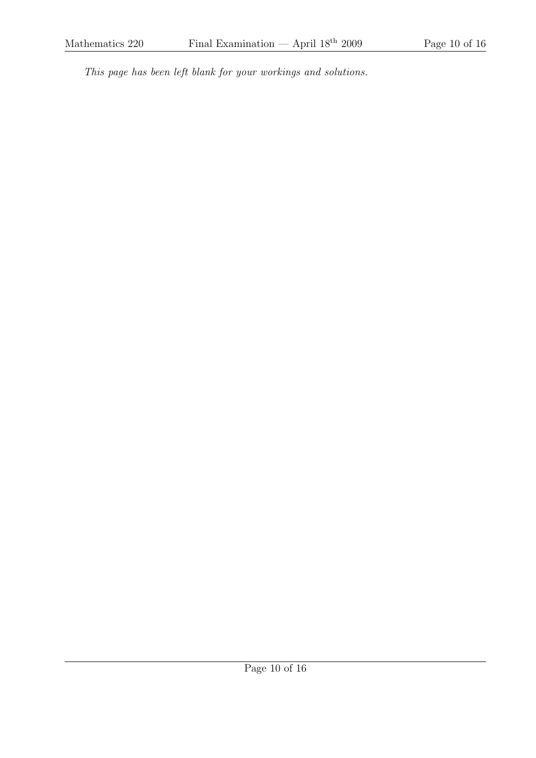This page has been left blank for your workings and solutions.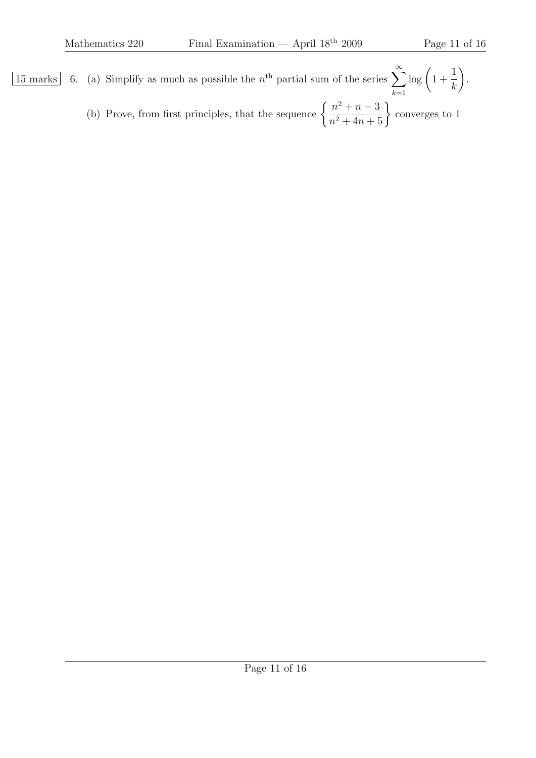- $\overline{15 \text{ marks}}$  6. (a) Simplify as much as possible the  $n^{\text{th}}$  partial sum of the series  $\sum_{n=1}^{\infty}$  $k=1$  $\log(1+\$ 1 k  $\setminus$ .
	- (b) Prove, from first principles, that the sequence  $\left\{\frac{n^2+n-3}{n^2+4n+5}\right\}$ converges to 1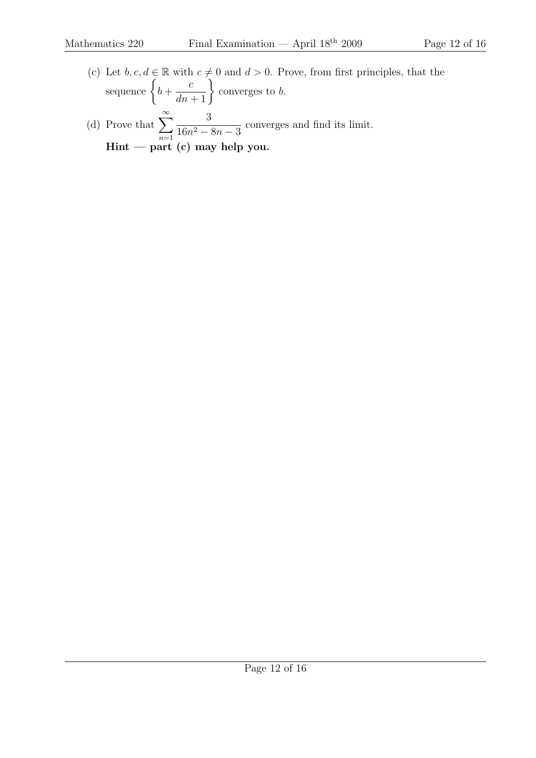(c) Let  $b, c, d \in \mathbb{R}$  with  $c \neq 0$  and  $d > 0$ . Prove, from first principles, that the sequence  $\Big\{ b +$  $\frac{c}{dn+1}\bigg\}$ converges to b. (d) Prove that  $\sum_{n=1}^{\infty}$  $n=1$ 3  $\frac{3}{16n^2 - 8n - 3}$  converges and find its limit. Hint — part (c) may help you.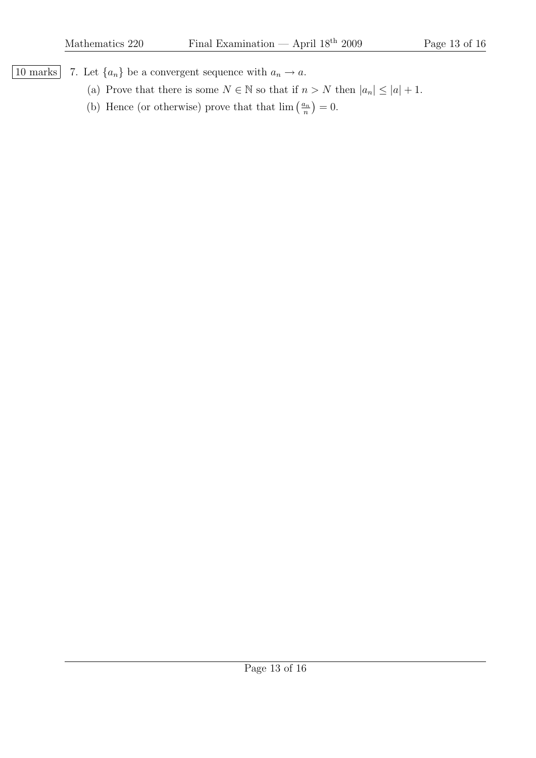10 marks 7. Let  $\{a_n\}$  be a convergent sequence with  $a_n \to a$ .

- (a) Prove that there is some  $N \in \mathbb{N}$  so that if  $n > N$  then  $|a_n| \leq |a| + 1$ .
- (b) Hence (or otherwise) prove that that  $\lim_{n \to \infty} \left( \frac{a_n}{n} \right)$  $\frac{a_n}{n}$ ) = 0.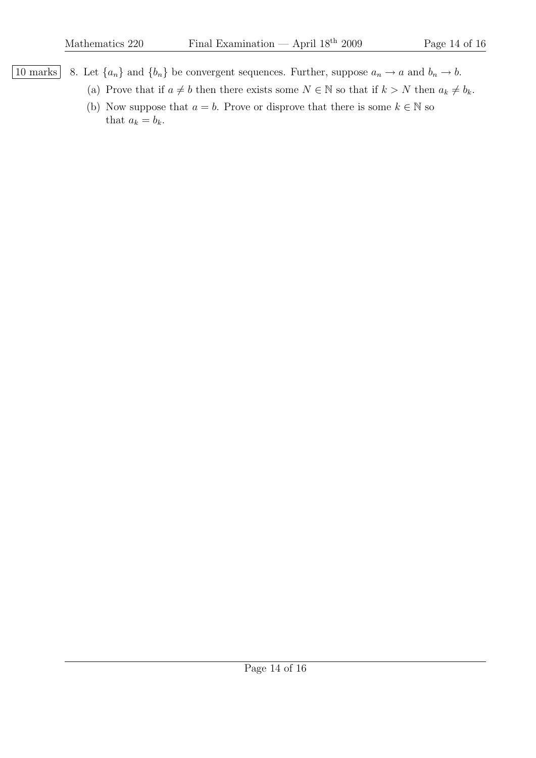10 marks 8. Let  ${a_n}$  and  ${b_n}$  be convergent sequences. Further, suppose  $a_n \to a$  and  $b_n \to b$ .

- (a) Prove that if  $a \neq b$  then there exists some  $N \in \mathbb{N}$  so that if  $k > N$  then  $a_k \neq b_k$ .
- (b) Now suppose that  $a = b$ . Prove or disprove that there is some  $k \in \mathbb{N}$  so that  $a_k = b_k$ .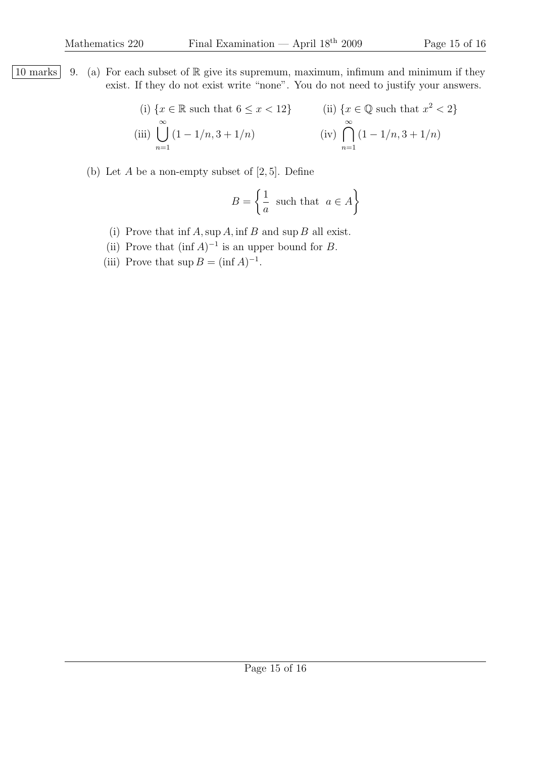10 marks 9. (a) For each subset of R give its supremum, maximum, infimum and minimum if they exist. If they do not exist write "none". You do not need to justify your answers.

(i) 
$$
\{x \in \mathbb{R} \text{ such that } 6 \le x < 12\}
$$
  
\n(ii)  $\{x \in \mathbb{Q} \text{ such that } x^2 < 2\}$   
\n(iii)  $\bigcup_{n=1}^{\infty} (1 - 1/n, 3 + 1/n)$   
\n(iv)  $\bigcap_{n=1}^{\infty} (1 - 1/n, 3 + 1/n)$ 

(b) Let  $A$  be a non-empty subset of  $[2, 5]$ . Define

$$
B = \left\{ \frac{1}{a} \text{ such that } a \in A \right\}
$$

- (i) Prove that  $\inf A$ , sup A,  $\inf B$  and sup B all exist.
- (ii) Prove that  $(\inf A)^{-1}$  is an upper bound for B.
- (iii) Prove that  $\sup B = (\inf A)^{-1}$ .